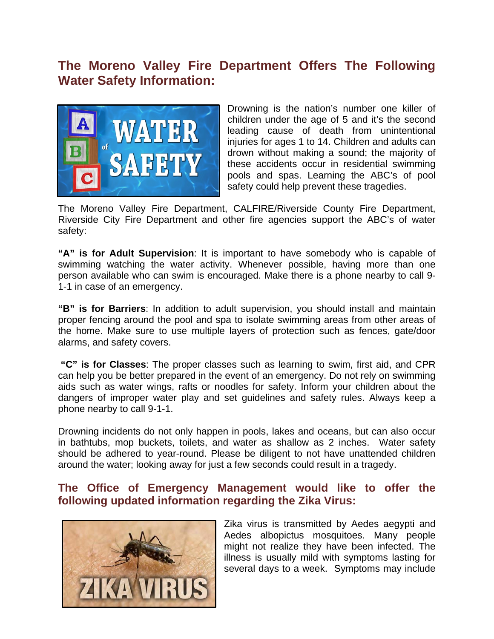# **The Moreno Valley Fire Department Offers The Following Water Safety Information:**



Drowning is the nation's number one killer of children under the age of 5 and it's the second leading cause of death from unintentional injuries for ages 1 to 14. Children and adults can drown without making a sound; the majority of these accidents occur in residential swimming pools and spas. Learning the ABC's of pool safety could help prevent these tragedies.

The Moreno Valley Fire Department, CALFIRE/Riverside County Fire Department, Riverside City Fire Department and other fire agencies support the ABC's of water safety:

**"A" is for Adult Supervision**: It is important to have somebody who is capable of swimming watching the water activity. Whenever possible, having more than one person available who can swim is encouraged. Make there is a phone nearby to call 9- 1-1 in case of an emergency.

**"B" is for Barriers**: In addition to adult supervision, you should install and maintain proper fencing around the pool and spa to isolate swimming areas from other areas of the home. Make sure to use multiple layers of protection such as fences, gate/door alarms, and safety covers.

**"C" is for Classes**: The proper classes such as learning to swim, first aid, and CPR can help you be better prepared in the event of an emergency. Do not rely on swimming aids such as water wings, rafts or noodles for safety. Inform your children about the dangers of improper water play and set guidelines and safety rules. Always keep a phone nearby to call 9-1-1.

Drowning incidents do not only happen in pools, lakes and oceans, but can also occur in bathtubs, mop buckets, toilets, and water as shallow as 2 inches. Water safety should be adhered to year-round. Please be diligent to not have unattended children around the water; looking away for just a few seconds could result in a tragedy.

## **The Office of Emergency Management would like to offer the following updated information regarding the Zika Virus:**



Zika virus is transmitted by Aedes aegypti and Aedes albopictus mosquitoes. Many people might not realize they have been infected. The illness is usually mild with symptoms lasting for several days to a week. Symptoms may include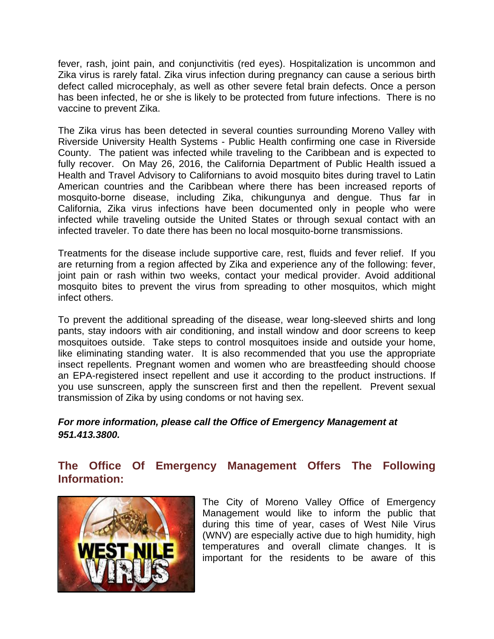fever, rash, joint pain, and conjunctivitis (red eyes). Hospitalization is uncommon and Zika virus is rarely fatal. Zika virus infection during pregnancy can cause a serious birth defect called microcephaly, as well as other severe fetal brain defects. Once a person has been infected, he or she is likely to be protected from future infections. There is no vaccine to prevent Zika.

The Zika virus has been detected in several counties surrounding Moreno Valley with Riverside University Health Systems - Public Health confirming one case in Riverside County. The patient was infected while traveling to the Caribbean and is expected to fully recover. On May 26, 2016, the California Department of Public Health issued a Health and Travel Advisory to Californians to avoid mosquito bites during travel to Latin American countries and the Caribbean where there has been increased reports of mosquito-borne disease, including Zika, chikungunya and dengue. Thus far in California, Zika virus infections have been documented only in people who were infected while traveling outside the United States or through sexual contact with an infected traveler. To date there has been no local mosquito-borne transmissions.

Treatments for the disease include supportive care, rest, fluids and fever relief. If you are returning from a region affected by Zika and experience any of the following: fever, joint pain or rash within two weeks, contact your medical provider. Avoid additional mosquito bites to prevent the virus from spreading to other mosquitos, which might infect others.

To prevent the additional spreading of the disease, wear long-sleeved shirts and long pants, stay indoors with air conditioning, and install window and door screens to keep mosquitoes outside. Take steps to control mosquitoes inside and outside your home, like eliminating standing water. It is also recommended that you use the appropriate insect repellents. Pregnant women and women who are breastfeeding should choose an EPA-registered insect repellent and use it according to the product instructions. If you use sunscreen, apply the sunscreen first and then the repellent. Prevent sexual transmission of Zika by using condoms or not having sex.

### *For more information, please call the Office of Emergency Management at 951.413.3800.*

# **The Office Of Emergency Management Offers The Following Information:**



The City of Moreno Valley Office of Emergency Management would like to inform the public that during this time of year, cases of West Nile Virus (WNV) are especially active due to high humidity, high temperatures and overall climate changes. It is important for the residents to be aware of this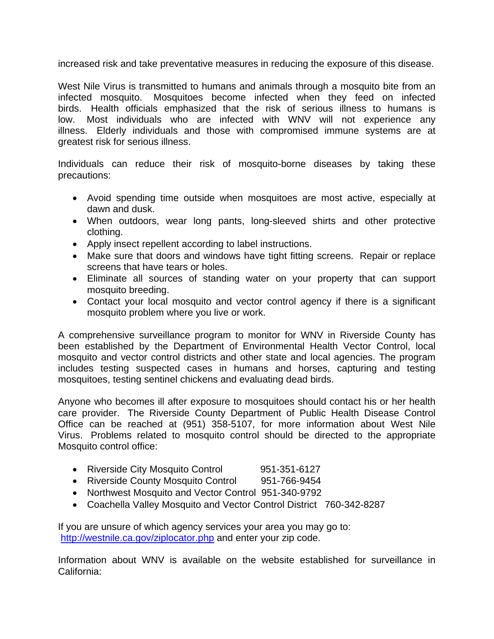increased risk and take preventative measures in reducing the exposure of this disease.

West Nile Virus is transmitted to humans and animals through a mosquito bite from an infected mosquito. Mosquitoes become infected when they feed on infected birds. Health officials emphasized that the risk of serious illness to humans is low. Most individuals who are infected with WNV will not experience any illness. Elderly individuals and those with compromised immune systems are at greatest risk for serious illness.

Individuals can reduce their risk of mosquito-borne diseases by taking these precautions:

- Avoid spending time outside when mosquitoes are most active, especially at dawn and dusk.
- When outdoors, wear long pants, long-sleeved shirts and other protective clothing.
- Apply insect repellent according to label instructions.
- Make sure that doors and windows have tight fitting screens. Repair or replace screens that have tears or holes.
- Eliminate all sources of standing water on your property that can support mosquito breeding.
- Contact your local mosquito and vector control agency if there is a significant mosquito problem where you live or work.

A comprehensive surveillance program to monitor for WNV in Riverside County has been established by the Department of Environmental Health Vector Control, local mosquito and vector control districts and other state and local agencies. The program includes testing suspected cases in humans and horses, capturing and testing mosquitoes, testing sentinel chickens and evaluating dead birds.

Anyone who becomes ill after exposure to mosquitoes should contact his or her health care provider. The Riverside County Department of Public Health Disease Control Office can be reached at (951) 358-5107, for more information about West Nile Virus. Problems related to mosquito control should be directed to the appropriate Mosquito control office:

- Riverside City Mosquito Control 951-351-6127
- Riverside County Mosquito Control 951-766-9454
- Northwest Mosquito and Vector Control 951-340-9792
- Coachella Valley Mosquito and Vector Control District 760-342-8287

If you are unsure of which agency services your area you may go to: [http://westnile.ca.gov/ziplocator.php](http://r20.rs6.net/tn.jsp?e=001XciV4MJcWIFRyLJyg7eloHHD-KVh3FG8MoLwPacbztBmxf9iROYDBnyrK5n1ygjN5QqGRu_DcMgIcypHVgsiDKBaGDYhdkhwFGOZYj5e_UxhrGizjXm3HUSyfxhF7G79cn7cW-IbEXPzs__2nIwmYw==) and enter your zip code.

Information about WNV is available on the website established for surveillance in California: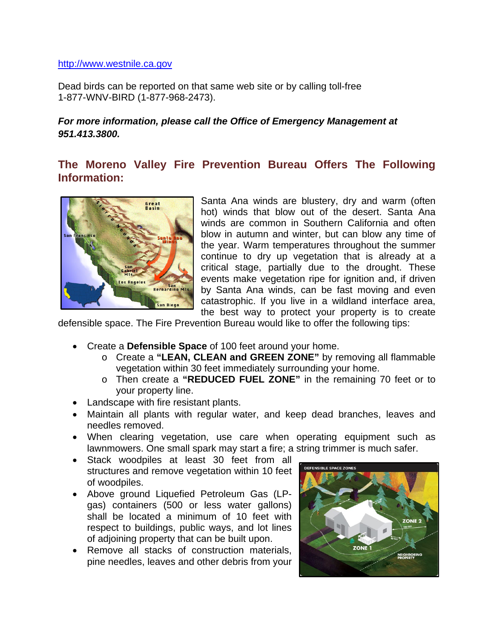#### [http://www.westnile.ca.gov](http://r20.rs6.net/tn.jsp?e=001XciV4MJcWIGDiokDFFGTHhkMwRhPDrrIHmdtMh3FhTmmfByl9Eyv18rmgZD6s7bOs03vjcw1dm-kt_kVnqNwC_PHx3MbqadYUdjHi9c7obw=)

Dead birds can be reported on that same web site or by calling toll-free 1-877-WNV-BIRD (1-877-968-2473).

#### *For more information, please call the Office of Emergency Management at 951.413.3800.*

# **The Moreno Valley Fire Prevention Bureau Offers The Following Information:**



Santa Ana winds are blustery, dry and warm (often hot) winds that blow out of the desert. Santa Ana winds are common in Southern California and often blow in autumn and winter, but can blow any time of the year. Warm temperatures throughout the summer continue to dry up vegetation that is already at a critical stage, partially due to the drought. These events make vegetation ripe for ignition and, if driven by Santa Ana winds, can be fast moving and even catastrophic. If you live in a wildland interface area, the best way to protect your property is to create

defensible space. The Fire Prevention Bureau would like to offer the following tips:

- Create a **Defensible Space** of 100 feet around your home.
	- o Create a **"LEAN, CLEAN and GREEN ZONE"** by removing all flammable vegetation within 30 feet immediately surrounding your home.
	- o Then create a **"REDUCED FUEL ZONE"** in the remaining 70 feet or to your property line.
- Landscape with fire resistant plants.
- Maintain all plants with regular water, and keep dead branches, leaves and needles removed.
- When clearing vegetation, use care when operating equipment such as lawnmowers. One small spark may start a fire; a string trimmer is much safer.
- Stack woodpiles at least 30 feet from all structures and remove vegetation within 10 feet of woodpiles.
- Above ground Liquefied Petroleum Gas (LPgas) containers (500 or less water gallons) shall be located a minimum of 10 feet with respect to buildings, public ways, and lot lines of adjoining property that can be built upon.
- Remove all stacks of construction materials, pine needles, leaves and other debris from your